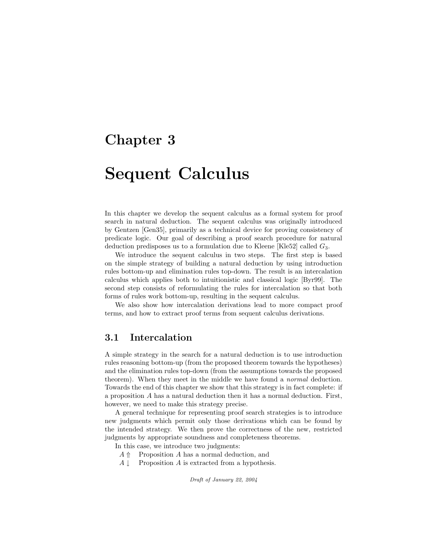## Chapter 3

# Sequent Calculus

In this chapter we develop the sequent calculus as a formal system for proof search in natural deduction. The sequent calculus was originally introduced by Gentzen [Gen35], primarily as a technical device for proving consistency of predicate logic. Our goal of describing a proof search procedure for natural deduction predisposes us to a formulation due to Kleene [Kle52] called  $G_3$ .

We introduce the sequent calculus in two steps. The first step is based on the simple strategy of building a natural deduction by using introduction rules bottom-up and elimination rules top-down. The result is an intercalation calculus which applies both to intuitionistic and classical logic [Byr99]. The second step consists of reformulating the rules for intercalation so that both forms of rules work bottom-up, resulting in the sequent calculus.

We also show how intercalation derivations lead to more compact proof terms, and how to extract proof terms from sequent calculus derivations.

### 3.1 Intercalation

A simple strategy in the search for a natural deduction is to use introduction rules reasoning bottom-up (from the proposed theorem towards the hypotheses) and the elimination rules top-down (from the assumptions towards the proposed theorem). When they meet in the middle we have found a normal deduction. Towards the end of this chapter we show that this strategy is in fact complete: if a proposition A has a natural deduction then it has a normal deduction. First, however, we need to make this strategy precise.

A general technique for representing proof search strategies is to introduce new judgments which permit only those derivations which can be found by the intended strategy. We then prove the correctness of the new, restricted judgments by appropriate soundness and completeness theorems.

In this case, we introduce two judgments:

- $A \nightharpoonup$  Proposition A has a normal deduction, and
- $A \downarrow$  Proposition A is extracted from a hypothesis.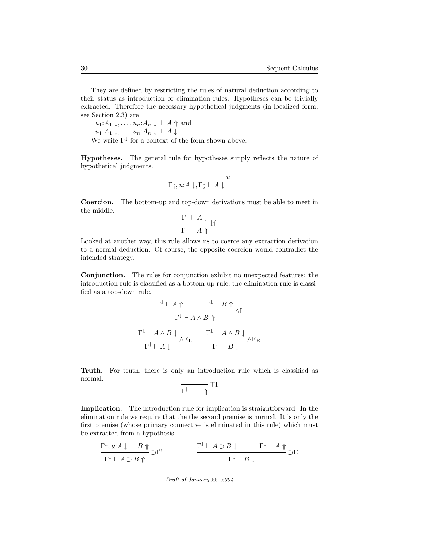They are defined by restricting the rules of natural deduction according to their status as introduction or elimination rules. Hypotheses can be trivially extracted. Therefore the necessary hypothetical judgments (in localized form, see Section 2.3) are

 $u_1:A_1\downarrow,\ldots,u_n:A_n\downarrow\;\vdash A\Uparrow$  and  $u_1:A_1\downarrow,\ldots,u_n:A_n\downarrow \vdash A\downarrow.$ We write  $\Gamma^{\downarrow}$  for a context of the form shown above.

Hypotheses. The general rule for hypotheses simply reflects the nature of hypothetical judgments.

$$
\overline{\Gamma_1^{\downarrow}, u:A\downarrow, \Gamma_2^{\downarrow}\vdash A\downarrow}^u
$$

Coercion. The bottom-up and top-down derivations must be able to meet in the middle.

$$
\frac{\Gamma^\downarrow\vdash A\downarrow}{\Gamma^\downarrow\vdash A\Uparrow}\downarrow\Uparrow
$$

Looked at another way, this rule allows us to coerce any extraction derivation to a normal deduction. Of course, the opposite coercion would contradict the intended strategy.

Conjunction. The rules for conjunction exhibit no unexpected features: the introduction rule is classified as a bottom-up rule, the elimination rule is classified as a top-down rule.

$$
\begin{array}{ccc}\n\Gamma^{\downarrow} \vdash A \Uparrow & & \Gamma^{\downarrow} \vdash B \Uparrow & \\
\hline\n\Gamma^{\downarrow} \vdash A \land B \Uparrow & & \\
\Gamma^{\downarrow} \vdash A \land B \downarrow & & \Gamma^{\downarrow} \vdash A \land B \downarrow & \\
\Gamma^{\downarrow} \vdash A \downarrow & & \Gamma^{\downarrow} \vdash B \downarrow & \\
\end{array}
$$

Truth. For truth, there is only an introduction rule which is classified as normal.

$$
\overline{\Gamma^\downarrow\vdash\top\Uparrow}\,\,\overline{\top I}
$$

Implication. The introduction rule for implication is straightforward. In the elimination rule we require that the the second premise is normal. It is only the first premise (whose primary connective is eliminated in this rule) which must be extracted from a hypothesis.

$$
\frac{\Gamma^{\downarrow}, u:A \downarrow \vdash B \Uparrow}{\Gamma^{\downarrow} \vdash A \supset B \Uparrow} \supset \mathbf{I}^{u} \qquad \qquad \frac{\Gamma^{\downarrow} \vdash A \supset B \downarrow \qquad \qquad \Gamma^{\downarrow} \vdash A \Uparrow}{\Gamma^{\downarrow} \vdash B \downarrow} \supset \mathbf{E}
$$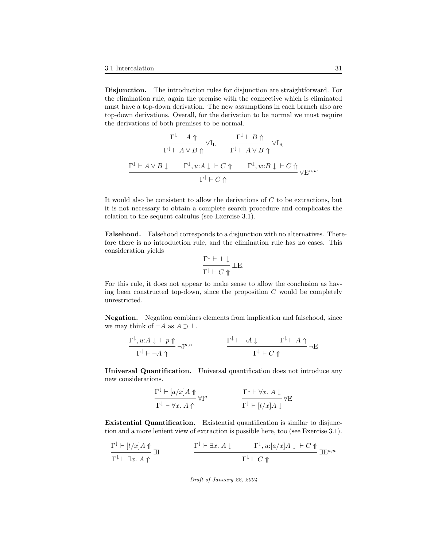Disjunction. The introduction rules for disjunction are straightforward. For the elimination rule, again the premise with the connective which is eliminated must have a top-down derivation. The new assumptions in each branch also are top-down derivations. Overall, for the derivation to be normal we must require the derivations of both premises to be normal.

$$
\begin{array}{ccc}\n\frac{\Gamma^{\downarrow}\vdash A\Uparrow}{\Gamma^{\downarrow}\vdash A\vee B\Uparrow} \vee \mathrm{I}_{\mathrm{L}} & \frac{\Gamma^{\downarrow}\vdash B\Uparrow}{\Gamma^{\downarrow}\vdash A\vee B\Uparrow} \vee \mathrm{I}_{\mathrm{R}} \\
\frac{\Gamma^{\downarrow}\vdash A\vee B\downarrow & \Gamma^{\downarrow}, u:A\downarrow\vdash C\Uparrow & \Gamma^{\downarrow}, w:B\downarrow\vdash C\Uparrow}{\Gamma^{\downarrow}\vdash C\Uparrow} \end{array}
$$

It would also be consistent to allow the derivations of C to be extractions, but it is not necessary to obtain a complete search procedure and complicates the relation to the sequent calculus (see Exercise 3.1).

Falsehood. Falsehood corresponds to a disjunction with no alternatives. Therefore there is no introduction rule, and the elimination rule has no cases. This consideration yields

$$
\frac{\Gamma^\downarrow\vdash \bot\downarrow}{\Gamma^\downarrow\vdash C\Uparrow}\bot\mathcal{E}.
$$

For this rule, it does not appear to make sense to allow the conclusion as having been constructed top-down, since the proposition  $C$  would be completely unrestricted.

Negation. Negation combines elements from implication and falsehood, since we may think of  $\neg A$  as  $A \supset \bot$ .

$$
\frac{\Gamma^\downarrow, u:A \downarrow \;\vdash p \;\Uparrow}{\Gamma^\downarrow \vdash \neg A \;\Uparrow\;} \qquad \qquad \frac{\Gamma^\downarrow \vdash \neg A \;\downarrow \qquad \Gamma^\downarrow \vdash A \;\Uparrow}{\Gamma^\downarrow \vdash C \;\Uparrow\;} \neg E
$$

Universal Quantification. Universal quantification does not introduce any new considerations.

$$
\frac{\Gamma^{\downarrow} \vdash [a/x]A \Uparrow}{\Gamma^{\downarrow} \vdash \forall x. A \Uparrow} \forall I^{a}
$$
\n
$$
\frac{\Gamma^{\downarrow} \vdash \forall x. A \downarrow}{\Gamma^{\downarrow} \vdash [t/x]A \downarrow} \forall E
$$

Existential Quantification. Existential quantification is similar to disjunction and a more lenient view of extraction is possible here, too (see Exercise 3.1).

$$
\frac{\Gamma^{\downarrow} \vdash [t/x] A \Uparrow}{\Gamma^{\downarrow} \vdash \exists x. A \Uparrow} \exists I \qquad \qquad \frac{\Gamma^{\downarrow} \vdash \exists x. A \downarrow \qquad \Gamma^{\downarrow}, u: [a/x] A \downarrow \vdash C \Uparrow}{\Gamma^{\downarrow} \vdash C \Uparrow} \exists E^{a,u}
$$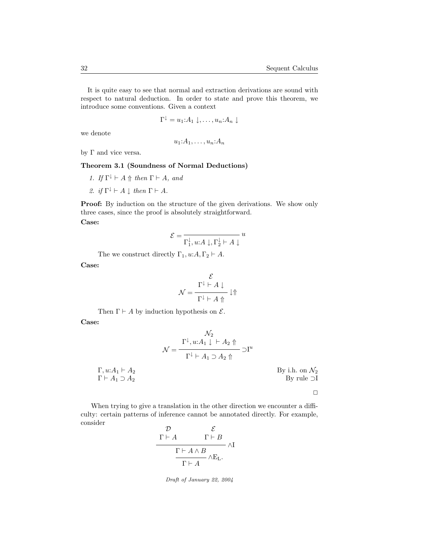It is quite easy to see that normal and extraction derivations are sound with respect to natural deduction. In order to state and prove this theorem, we introduce some conventions. Given a context

$$
\Gamma^{\downarrow} = u_1: A_1 \downarrow, \ldots, u_n: A_n \downarrow
$$

we denote

$$
u_1: A_1, \ldots, u_n: A_n
$$

by Γ and vice versa.

#### Theorem 3.1 (Soundness of Normal Deductions)

- 1. If  $\Gamma^{\downarrow} \vdash A \Uparrow$  then  $\Gamma \vdash A$ , and
- 2. if  $\Gamma^{\downarrow} \vdash A \downarrow$  then  $\Gamma \vdash A$ .

Proof: By induction on the structure of the given derivations. We show only three cases, since the proof is absolutely straightforward.

Case:

$$
\mathcal{E}=\frac{u}{\Gamma_1^{\downarrow}, u{:}A\downarrow, \Gamma_2^{\downarrow}\vdash A\downarrow}u
$$

The we construct directly  $\Gamma_1, u:A, \Gamma_2 \vdash A$ .

Case:

$$
\mathcal{N} = \frac{\Gamma^{\downarrow} \vdash A \downarrow}{\Gamma^{\downarrow} \vdash A \Uparrow} \downarrow \Uparrow
$$

Then  $\Gamma \vdash A$  by induction hypothesis on  $\mathcal{E}$ .

Case:

$$
\mathcal{N}_2
$$

$$
\mathcal{N} = \frac{\Gamma^{\downarrow}, u:A_1 \downarrow \vdash A_2 \Uparrow}{\Gamma^{\downarrow} \vdash A_1 \supset A_2 \Uparrow} \supset \mathbf{I}^u
$$

| $\Gamma, u:A_1 \vdash A_2$      | By i.h. on $\mathcal{N}_2$ |
|---------------------------------|----------------------------|
| $\Gamma \vdash A_1 \supset A_2$ | By rule $\supset I$        |

When trying to give a translation in the other direction we encounter a difficulty: certain patterns of inference cannot be annotated directly. For example, consider

$$
\frac{\mathcal{D}}{\Gamma \vdash A} \qquad \frac{\mathcal{E}}{\Gamma \vdash B} \land \Gamma
$$
\n
$$
\frac{\Gamma \vdash A \land B}{\Gamma \vdash A} \land E_{\mathbf{L}}.
$$

Draft of January 22, 2004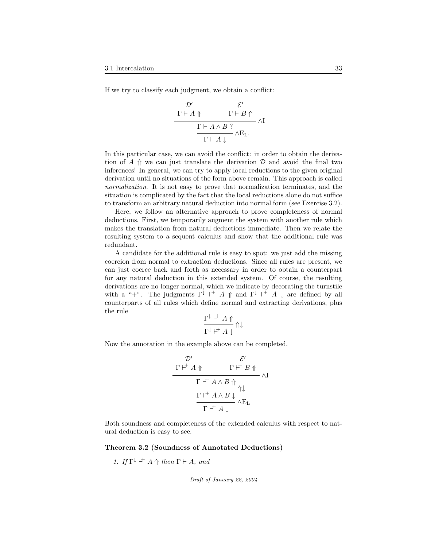If we try to classify each judgment, we obtain a conflict:

$$
\begin{array}{c}\n {\mathcal D}' \qquad \qquad {\mathcal E}' \\\ \Gamma \vdash A \Uparrow \qquad \qquad \Gamma \vdash B \Uparrow \\\hline \Gamma \vdash A \wedge B \ ? \\\hline \Gamma \vdash A \downarrow \end{array} \wedge {\rm I}
$$

In this particular case, we can avoid the conflict: in order to obtain the derivation of A  $\Uparrow$  we can just translate the derivation D and avoid the final two inferences! In general, we can try to apply local reductions to the given original derivation until no situations of the form above remain. This approach is called normalization. It is not easy to prove that normalization terminates, and the situation is complicated by the fact that the local reductions alone do not suffice to transform an arbitrary natural deduction into normal form (see Exercise 3.2).

Here, we follow an alternative approach to prove completeness of normal deductions. First, we temporarily augment the system with another rule which makes the translation from natural deductions immediate. Then we relate the resulting system to a sequent calculus and show that the additional rule was redundant.

A candidate for the additional rule is easy to spot: we just add the missing coercion from normal to extraction deductions. Since all rules are present, we can just coerce back and forth as necessary in order to obtain a counterpart for any natural deduction in this extended system. Of course, the resulting derivations are no longer normal, which we indicate by decorating the turnstile with a "+". The judgments  $\Gamma^{\downarrow}$  |  $\vdash$  A  $\uparrow$  and  $\Gamma^{\downarrow}$  |  $\vdash$  A  $\downarrow$  are defined by all counterparts of all rules which define normal and extracting derivations, plus the rule

$$
\frac{\Gamma^\downarrow\,\vdash^{\!+} A\Uparrow}{\Gamma^\downarrow\,\vdash^{\!+} A\downarrow}\Uparrow\downarrow
$$

Now the annotation in the example above can be completed.

$$
\begin{array}{c}\n {\mathcal D}' \qquad \qquad {\mathcal E}' \\\ \Gamma \vdash^{\!\!\!\!\!+} A \Uparrow \qquad \qquad \Gamma \vdash^{\!\!\!\!\!+} B \Uparrow \\\ \hline \Gamma \vdash^{\!\!\!\!\!+} A \wedge B \Uparrow \\\hline \Gamma \vdash^{\!\!\!\!\!+} A \wedge B \downarrow \qquad \qquad \wedge E_L \\\hline \Gamma \vdash^{\!\!\!\!\!+} A \downarrow \end{array}
$$

Both soundness and completeness of the extended calculus with respect to natural deduction is easy to see.

#### Theorem 3.2 (Soundness of Annotated Deductions)

1. If 
$$
\Gamma^{\perp} \vdash^{\perp} A \Uparrow \text{ then } \Gamma \vdash A
$$
, and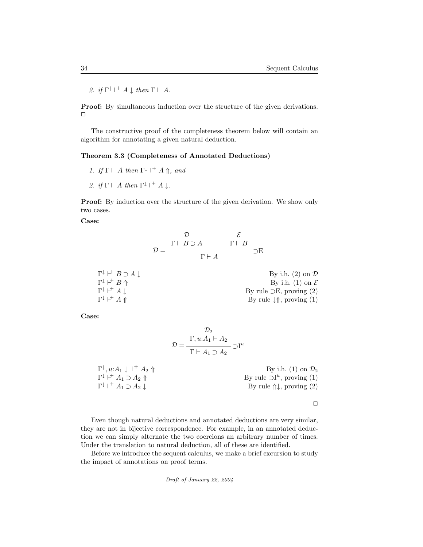2. if  $\Gamma^{\downarrow} \vdash^+ A \downarrow$  then  $\Gamma \vdash A$ .

Proof: By simultaneous induction over the structure of the given derivations.  $\Box$ 

The constructive proof of the completeness theorem below will contain an algorithm for annotating a given natural deduction.

#### Theorem 3.3 (Completeness of Annotated Deductions)

- 1. If  $\Gamma \vdash A$  then  $\Gamma^{\downarrow} \vdash^{\dagger} A \Uparrow$ , and
- 2. if  $\Gamma \vdash A$  then  $\Gamma^{\downarrow} \vdash^{\dagger} A \downarrow$ .

Proof: By induction over the structure of the given derivation. We show only two cases.

Case:

$$
\mathcal{D} = \frac{\Gamma \vdash B \supset A}{\Gamma \vdash A} \frac{\mathcal{E}}{\Gamma \vdash A} \supset \mathcal{E}
$$

| $\Gamma^{\downarrow} \vdash^{+} B \supset A \perp$ | By i.h. $(2)$ on $\mathcal{D}$              |
|----------------------------------------------------|---------------------------------------------|
| $\Gamma^{\downarrow} \vdash^{+} B \Uparrow$        | By i.h. (1) on $\mathcal E$                 |
| $\Gamma^{\downarrow} \vdash^{\dagger} A \perp$     | By rule $\supset E$ , proving (2)           |
| $\Gamma^{\downarrow} \vdash^{\dagger} A \Uparrow$  | By rule $\downarrow \Uparrow$ , proving (1) |

Case:

$$
\mathcal{D}_2
$$

$$
\mathcal{D} = \frac{\Gamma, u:A_1 \vdash A_2}{\Gamma \vdash A_1 \supset A_2} \supset \mathbf{I}^u
$$

| $\Gamma^{\downarrow}, u: A_1 \downarrow \vdash^{+} A_2 \Uparrow$  | By i.h. (1) on $\mathcal{D}_2$              |
|-------------------------------------------------------------------|---------------------------------------------|
| $\Gamma^{\downarrow} \vdash^{\dagger} A_1 \supset A_2 \Uparrow$   | By rule $\supset I^u$ , proving (1)         |
| $\Gamma^{\downarrow} \vdash^{\dagger} A_1 \supset A_2 \downarrow$ | By rule $\uparrow \downarrow$ , proving (2) |

 $\Box$ 

Even though natural deductions and annotated deductions are very similar, they are not in bijective correspondence. For example, in an annotated deduction we can simply alternate the two coercions an arbitrary number of times. Under the translation to natural deduction, all of these are identified.

Before we introduce the sequent calculus, we make a brief excursion to study the impact of annotations on proof terms.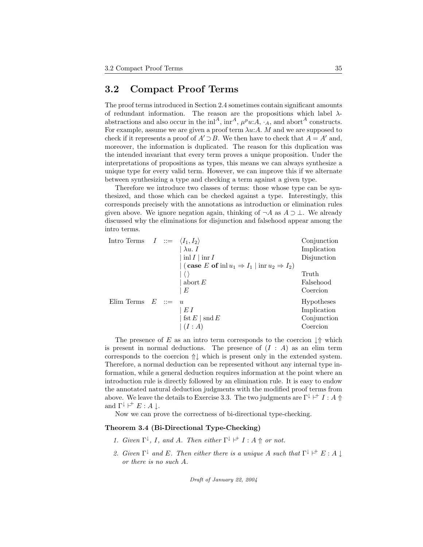### 3.2 Compact Proof Terms

The proof terms introduced in Section 2.4 sometimes contain significant amounts of redundant information. The reason are the propositions which label  $\lambda$ abstractions and also occur in the in<sup>14</sup>, in <sup>A</sup>,  $\mu^p u$ : A,  $\cdot_A$ , and abort<sup>4</sup> constructs. For example, assume we are given a proof term  $\lambda u:A$ . M and we are supposed to check if it represents a proof of  $A' \supset B$ . We then have to check that  $A = A'$  and, moreover, the information is duplicated. The reason for this duplication was the intended invariant that every term proves a unique proposition. Under the interpretations of propositions as types, this means we can always synthesize a unique type for every valid term. However, we can improve this if we alternate between synthesizing a type and checking a term against a given type.

Therefore we introduce two classes of terms: those whose type can be synthesized, and those which can be checked against a type. Interestingly, this corresponds precisely with the annotations as introduction or elimination rules given above. We ignore negation again, thinking of  $\neg A$  as  $A \supset \bot$ . We already discussed why the eliminations for disjunction and falsehood appear among the intro terms.

| Intro Terms $I ::= \langle I_1, I_2 \rangle$ |         |                                                                                     | Conjunction       |
|----------------------------------------------|---------|-------------------------------------------------------------------------------------|-------------------|
|                                              |         | $\lambda u. I$                                                                      | Implication       |
|                                              |         | $\inf I \mid \inf I$                                                                | Disjunction       |
|                                              |         | $\vert$ (case E of in $\vert u_1 \Rightarrow I_1 \vert$ inr $u_2 \Rightarrow I_2$ ) |                   |
|                                              |         |                                                                                     | Truth             |
|                                              |         | abort $E$                                                                           | Falsehood         |
|                                              |         | E                                                                                   | Coercion          |
| Elim Terms                                   | $E$ ::= | $\mathcal{U}$                                                                       | <b>Hypotheses</b> |
|                                              |         | EΙ                                                                                  | Implication       |
|                                              |         | fst $E \mid \text{snd } E$                                                          | Conjunction       |
|                                              |         | (I:A)                                                                               | Coercion          |
|                                              |         |                                                                                     |                   |

The presence of E as an intro term corresponds to the coercion  $\downarrow \Uparrow$  which is present in normal deductions. The presence of  $(I : A)$  as an elim term corresponds to the coercion ⇑↓ which is present only in the extended system. Therefore, a normal deduction can be represented without any internal type information, while a general deduction requires information at the point where an introduction rule is directly followed by an elimination rule. It is easy to endow the annotated natural deduction judgments with the modified proof terms from above. We leave the details to Exercise 3.3. The two judgments are  $\Gamma^{\downarrow} \vdash^{+} I : A \Uparrow$ and  $\Gamma^{\downarrow} \vdash^{+} E : A \downarrow$ .

Now we can prove the correctness of bi-directional type-checking.

#### Theorem 3.4 (Bi-Directional Type-Checking)

- 1. Given  $\Gamma^{\downarrow}$ , I, and A. Then either  $\Gamma^{\downarrow} \vdash I : A \Uparrow or not.$
- 2. Given  $\Gamma^{\downarrow}$  and E. Then either there is a unique A such that  $\Gamma^{\downarrow} \vdash^{+} E : A \downarrow$ or there is no such A.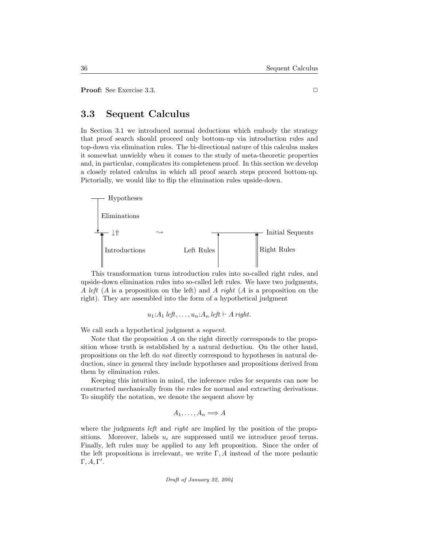Proof: See Exercise 3.3. ◯

### 3.3 Sequent Calculus

In Section 3.1 we introduced normal deductions which embody the strategy that proof search should proceed only bottom-up via introduction rules and top-down via elimination rules. The bi-directional nature of this calculus makes it somewhat unwieldy when it comes to the study of meta-theoretic properties and, in particular, complicates its completeness proof. In this section we develop a closely related calculus in which all proof search steps proceed bottom-up. Pictorially, we would like to flip the elimination rules upside-down.



This transformation turns introduction rules into so-called right rules, and upside-down elimination rules into so-called left rules. We have two judgments, A left (A is a proposition on the left) and A right (A is a proposition on the right). They are assembled into the form of a hypothetical judgment

$$
u_1:A_1 \text{ left},\ldots,u_n:A_n \text{ left} \vdash A \text{ right}.
$$

We call such a hypothetical judgment a *sequent*.

Note that the proposition A on the right directly corresponds to the proposition whose truth is established by a natural deduction. On the other hand, propositions on the left do not directly correspond to hypotheses in natural deduction, since in general they include hypotheses and propositions derived from them by elimination rules.

Keeping this intuition in mind, the inference rules for sequents can now be constructed mechanically from the rules for normal and extracting derivations. To simplify the notation, we denote the sequent above by

$$
A_1,\ldots,A_n \Longrightarrow A
$$

where the judgments *left* and *right* are implied by the position of the propositions. Moreover, labels  $u_i$  are suppressed until we introduce proof terms. Finally, left rules may be applied to any left proposition. Since the order of the left propositions is irrelevant, we write  $\Gamma$ , A instead of the more pedantic  $Γ, A, Γ'.$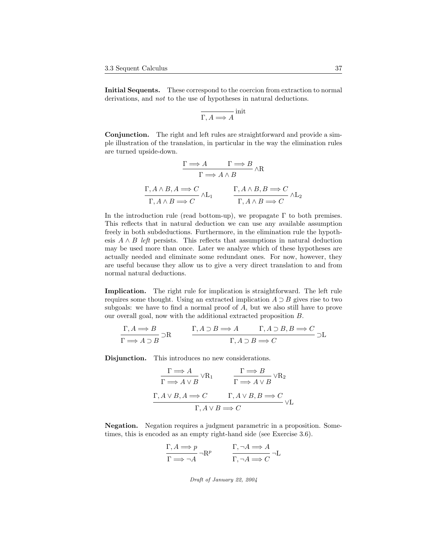Initial Sequents. These correspond to the coercion from extraction to normal derivations, and *not* to the use of hypotheses in natural deductions.

$$
\overline{\Gamma, A \Longrightarrow A}^{\text{init}}
$$

Conjunction. The right and left rules are straightforward and provide a simple illustration of the translation, in particular in the way the elimination rules are turned upside-down.

$$
\frac{\Gamma \Longrightarrow A \qquad \Gamma \Longrightarrow B}{\Gamma \Longrightarrow A \land B} \land R
$$
  

$$
\frac{\Gamma, A \land B, A \Longrightarrow C}{\Gamma, A \land B \Longrightarrow C} \land L_1 \qquad \frac{\Gamma, A \land B, B \Longrightarrow C}{\Gamma, A \land B \Longrightarrow C} \land L_2
$$

In the introduction rule (read bottom-up), we propagate  $\Gamma$  to both premises. This reflects that in natural deduction we can use any available assumption freely in both subdeductions. Furthermore, in the elimination rule the hypothesis  $A \wedge B$  left persists. This reflects that assumptions in natural deduction may be used more than once. Later we analyze which of these hypotheses are actually needed and eliminate some redundant ones. For now, however, they are useful because they allow us to give a very direct translation to and from normal natural deductions.

Implication. The right rule for implication is straightforward. The left rule requires some thought. Using an extracted implication  $A \supset B$  gives rise to two subgoals: we have to find a normal proof of A, but we also still have to prove our overall goal, now with the additional extracted proposition B.

$$
\frac{\Gamma, A \Longrightarrow B}{\Gamma \Longrightarrow A \supset B} \supset R \qquad \frac{\Gamma, A \supset B \Longrightarrow A \qquad \Gamma, A \supset B, B \Longrightarrow C}{\Gamma, A \supset B \Longrightarrow C} \supset L
$$

Disjunction. This introduces no new considerations.

$$
\Gamma \Longrightarrow A \vee R_1 \qquad \qquad \Gamma \Longrightarrow B \vee R_2
$$
  

$$
\Gamma \Longrightarrow A \vee B \qquad \qquad \Gamma \Longrightarrow A \vee B \qquad \qquad \Gamma A \vee B \Longrightarrow C
$$
  

$$
\Gamma, A \vee B, A \Longrightarrow C \qquad \qquad \Gamma, A \vee B, B \Longrightarrow C \qquad \qquad \Gamma A \vee B \Longrightarrow C
$$

Negation. Negation requires a judgment parametric in a proposition. Sometimes, this is encoded as an empty right-hand side (see Exercise 3.6).

$$
\frac{\Gamma, A \Longrightarrow p}{\Gamma \Longrightarrow \neg A} \neg \mathbf{R}^p \qquad \frac{\Gamma, \neg A \Longrightarrow A}{\Gamma, \neg A \Longrightarrow C} \neg \mathbf{L}
$$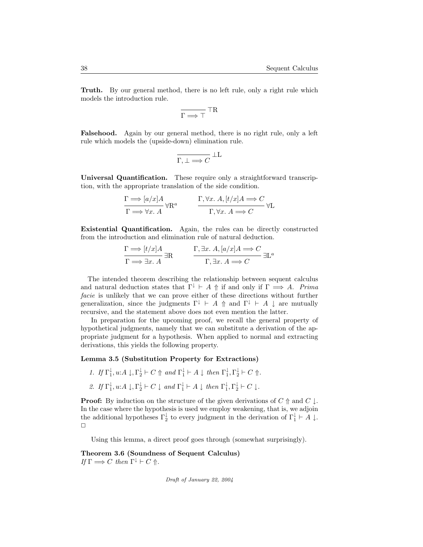Truth. By our general method, there is no left rule, only a right rule which models the introduction rule.

$$
\overline{\Gamma\Longrightarrow\top}^{\hphantom{1}}\top{\bf R}
$$

Falsehood. Again by our general method, there is no right rule, only a left rule which models the (upside-down) elimination rule.

$$
\overline{\Gamma, \bot \Longrightarrow C} \perp L
$$

Universal Quantification. These require only a straightforward transcription, with the appropriate translation of the side condition.

$$
\frac{\Gamma \Longrightarrow [a/x]A}{\Gamma \Longrightarrow \forall x. A} \forall R^a \qquad \frac{\Gamma, \forall x. A, [t/x]A \Longrightarrow C}{\Gamma, \forall x. A \Longrightarrow C} \forall L
$$

Existential Quantification. Again, the rules can be directly constructed from the introduction and elimination rule of natural deduction.

$$
\frac{\Gamma \Longrightarrow [t/x]A}{\Gamma \Longrightarrow \exists x. A} \exists R \qquad \frac{\Gamma, \exists x. A, [a/x]A \Longrightarrow C}{\Gamma, \exists x. A \Longrightarrow C} \exists L^a
$$

The intended theorem describing the relationship between sequent calculus and natural deduction states that  $\Gamma^{\downarrow} \vdash A \Uparrow$  if and only if  $\Gamma \implies A$ . Prima facie is unlikely that we can prove either of these directions without further generalization, since the judgments  $\Gamma^{\downarrow} \vdash A \uparrow$  and  $\Gamma^{\downarrow} \vdash A \downarrow$  are mutually recursive, and the statement above does not even mention the latter.

In preparation for the upcoming proof, we recall the general property of hypothetical judgments, namely that we can substitute a derivation of the appropriate judgment for a hypothesis. When applied to normal and extracting derivations, this yields the following property.

#### Lemma 3.5 (Substitution Property for Extractions)

- 1. If  $\Gamma_1^{\downarrow}$ ,  $u:A \downarrow, \Gamma_2^{\downarrow} \vdash C \uparrow$  and  $\Gamma_1^{\downarrow} \vdash A \downarrow$  then  $\Gamma_1^{\downarrow}, \Gamma_2^{\downarrow} \vdash C \uparrow$ .
- 2. If  $\Gamma_1^{\downarrow}$ ,  $u:A \downarrow, \Gamma_2^{\downarrow} \vdash C \downarrow$  and  $\Gamma_1^{\downarrow} \vdash A \downarrow$  then  $\Gamma_1^{\downarrow}, \Gamma_2^{\downarrow} \vdash C \downarrow$ .

**Proof:** By induction on the structure of the given derivations of  $C \nparallel$  and  $C \nparallel$ . In the case where the hypothesis is used we employ weakening, that is, we adjoin the additional hypotheses  $\Gamma_2^{\downarrow}$  to every judgment in the derivation of  $\Gamma_1^{\downarrow} \vdash A \downarrow$ .  $\Box$ 

Using this lemma, a direct proof goes through (somewhat surprisingly).

Theorem 3.6 (Soundness of Sequent Calculus) If  $\Gamma \Longrightarrow C$  then  $\Gamma^{\downarrow} \vdash C \Uparrow$ .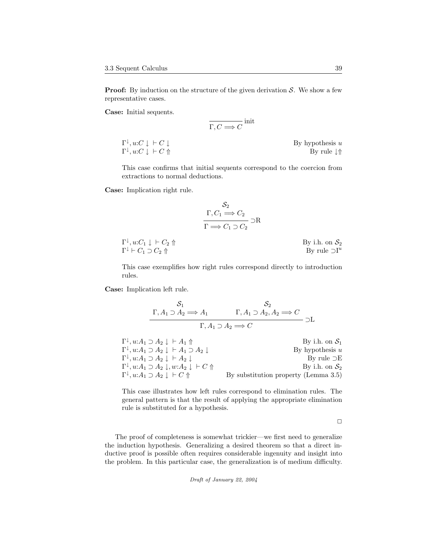**Proof:** By induction on the structure of the given derivation  $S$ . We show a few representative cases.

Case: Initial sequents.

$$
\overline{\Gamma, C \Longrightarrow C}^{\text{init}}
$$

 $\Gamma^\downarrow$  $\Gamma^{\downarrow}, u:C \downarrow \vdash C \Uparrow$  By rule  $\downarrow \Uparrow$ 

By hypothesis  $u$ 

This case confirms that initial sequents correspond to the coercion from extractions to normal deductions.

Case: Implication right rule.

$$
\frac{S_2}{\Gamma, C_1 \Longrightarrow C_2} \supset \mathcal{R}
$$

$$
\frac{\Gamma \Longrightarrow C_1 \supset C_2}{\Gamma \Longrightarrow C_1 \supset C_2} \supset \mathcal{R}
$$

| $\Gamma^{\downarrow}, u:C_1 \downarrow \vdash C_2 \Uparrow$ | By i.h. on $\mathcal{S}_2$ |
|-------------------------------------------------------------|----------------------------|
| $\Gamma^{\downarrow} \vdash C_1 \supset C_2 \Uparrow$       | By rule $\supset I^u$      |

This case exemplifies how right rules correspond directly to introduction rules.

Case: Implication left rule.

$$
\frac{S_1}{\Gamma, A_1 \supset A_2 \Longrightarrow A_1} \qquad \qquad \Gamma, A_1 \supset A_2, A_2 \Longrightarrow C
$$

$$
\Gamma, A_1 \supset A_2 \Longrightarrow C
$$

 $\Gamma^{\downarrow}, u: A_1 \supset A_2 \downarrow \vdash A_1 \uparrow$  By i.h. on  $S_1$  $\Gamma^{\downarrow}, u: A_1 \supset A_2 \downarrow \vdash A_1 \supset A_2 \downarrow$  By hypothesis u  $\Gamma^{\downarrow}, u: A_1 \supset A_2 \downarrow + A_2 \downarrow$  By rule  $\supset \to$  $\Gamma^{\downarrow}, u: A_1 \supset A_2 \downarrow, w: A_2 \downarrow \vdash C \uparrow$  By i.h. on  $\mathcal{S}_2$  $\Gamma^\downarrow$ By substitution property (Lemma  $3.5$ )

This case illustrates how left rules correspond to elimination rules. The general pattern is that the result of applying the appropriate elimination rule is substituted for a hypothesis.

 $\Box$ 

The proof of completeness is somewhat trickier—we first need to generalize the induction hypothesis. Generalizing a desired theorem so that a direct inductive proof is possible often requires considerable ingenuity and insight into the problem. In this particular case, the generalization is of medium difficulty.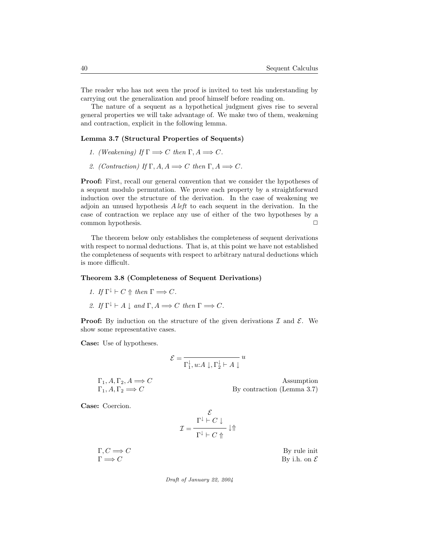The reader who has not seen the proof is invited to test his understanding by carrying out the generalization and proof himself before reading on.

The nature of a sequent as a hypothetical judgment gives rise to several general properties we will take advantage of. We make two of them, weakening and contraction, explicit in the following lemma.

#### Lemma 3.7 (Structural Properties of Sequents)

- 1. (Weakening) If  $\Gamma \Longrightarrow C$  then  $\Gamma, A \Longrightarrow C$ .
- 2. (Contraction) If  $\Gamma$ ,  $A$ ,  $A \Longrightarrow C$  then  $\Gamma$ ,  $A \Longrightarrow C$ .

Proof: First, recall our general convention that we consider the hypotheses of a sequent modulo permutation. We prove each property by a straightforward induction over the structure of the derivation. In the case of weakening we adjoin an unused hypothesis  $A \, \text{left}$  to each sequent in the derivation. In the case of contraction we replace any use of either of the two hypotheses by a common hypothesis. □

The theorem below only establishes the completeness of sequent derivations with respect to normal deductions. That is, at this point we have not established the completeness of sequents with respect to arbitrary natural deductions which is more difficult.

#### Theorem 3.8 (Completeness of Sequent Derivations)

- 1. If  $\Gamma^{\downarrow} \vdash C \Uparrow$  then  $\Gamma \Longrightarrow C$ .
- 2. If  $\Gamma^{\downarrow} \vdash A \downarrow$  and  $\Gamma, A \Longrightarrow C$  then  $\Gamma \Longrightarrow C$ .

**Proof:** By induction on the structure of the given derivations  $\mathcal{I}$  and  $\mathcal{E}$ . We show some representative cases.

Case: Use of hypotheses.

$$
\mathcal{E} = \frac{1}{\Gamma_1^{\downarrow}, u{:}A\downarrow, \Gamma_2^{\downarrow} \vdash A\downarrow} u
$$

$$
\Gamma_1, A, \Gamma_2, A \Longrightarrow C
$$
 Assumption  
By contraction (Lemma 3.7)

Case: Coercion.

$$
\mathcal{I} = \frac{\mathcal{E}}{\Gamma^{\downarrow} \vdash C \downarrow} \downarrow \Uparrow
$$

 $\Gamma, C \Longrightarrow C$  By rule init  $\Gamma \Longrightarrow C$  By i.h. on  $\mathcal E$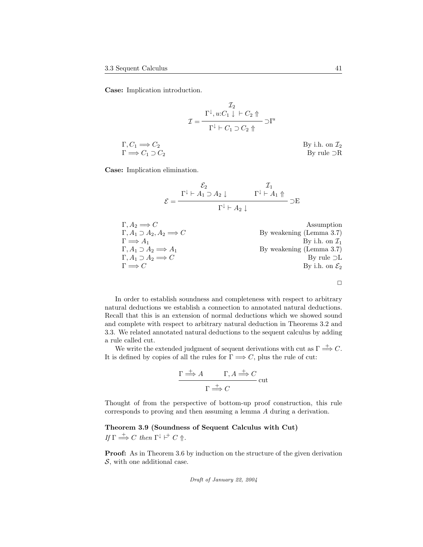Case: Implication introduction.

$$
\mathcal{I} = \frac{\Gamma^{\downarrow}, u:C_1 \downarrow \vdash C_2 \Uparrow}{\Gamma^{\downarrow} \vdash C_1 \supset C_2 \Uparrow} \supset \mathbf{I}^u
$$

 $\Gamma, C_1 \Longrightarrow C_2$  By i.h. on  $\mathcal{I}_2$  $\Gamma \Longrightarrow C_1 \supset C_2$  By rule  $\supset$ R

Case: Implication elimination.

$$
\mathcal{E} = \frac{\Gamma^{\downarrow} \vdash A_1 \supset A_2 \downarrow \qquad \qquad \Gamma^{\downarrow} \vdash A_1 \Uparrow}{\Gamma^{\downarrow} \vdash A_2 \downarrow} \negthickspace \negthickspace \negthickspace \Gamma^{\downarrow} \vdash A_1 \Uparrow
$$

| $\Gamma, A_2 \implies C$                  | Assumption                 |
|-------------------------------------------|----------------------------|
| $\Gamma, A_1 \supset A_2, A_2 \implies C$ | By weakening (Lemma 3.7)   |
| $\Gamma \implies A_1$                     | By weakening (Lemma 3.7)   |
| $\Gamma, A_1 \supset A_2 \implies A_1$    | By weakening (Lemma 3.7)   |
| $\Gamma, A_1 \supset A_2 \implies C$      | By rule $\supseteq$ L      |
| $\Gamma \implies C$                       | By i.h. on $\mathcal{E}_2$ |

 $\Box$ 

In order to establish soundness and completeness with respect to arbitrary natural deductions we establish a connection to annotated natural deductions. Recall that this is an extension of normal deductions which we showed sound and complete with respect to arbitrary natural deduction in Theorems 3.2 and 3.3. We related annotated natural deductions to the sequent calculus by adding a rule called cut.

We write the extended judgment of sequent derivations with cut as  $\Gamma \stackrel{+}{\Longrightarrow} C$ . It is defined by copies of all the rules for  $\Gamma \Longrightarrow C$ , plus the rule of cut:

$$
\frac{\Gamma \stackrel{+}{\Longrightarrow} A \qquad \Gamma, A \stackrel{+}{\Longrightarrow} C}{\Gamma \stackrel{+}{\Longrightarrow} C} \text{cut}
$$

Thought of from the perspective of bottom-up proof construction, this rule corresponds to proving and then assuming a lemma A during a derivation.

Theorem 3.9 (Soundness of Sequent Calculus with Cut) If  $\Gamma \stackrel{+}{\Longrightarrow} C$  then  $\Gamma^{\downarrow} \vdash^{+} C \Uparrow$ .

Proof: As in Theorem 3.6 by induction on the structure of the given derivation  $S$ , with one additional case.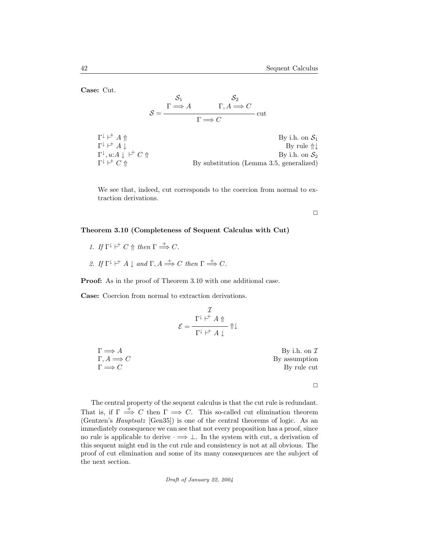Case: Cut.

$$
S = \frac{\Gamma \Longrightarrow A}{\Gamma \Longrightarrow C} \text{ cut}
$$

$$
S = \frac{\Gamma \Longrightarrow A}{\Gamma \Longrightarrow C} \text{ cut}
$$

 $\Gamma^\downarrow$   $\vdash$ By i.h. on  $S_1$  $\Gamma^\downarrow$   $\vdash$ By rule  $\Uparrow \downarrow$  $\Gamma^{\downarrow}, u: A \downarrow \vdash^+ C \Uparrow$  By i.h. on  $\mathcal{S}_2$  $\Gamma^\downarrow$   $\vdash$ By substitution (Lemma 3.5, generalized)

We see that, indeed, cut corresponds to the coercion from normal to extraction derivations.

 $\Box$ 

#### Theorem 3.10 (Completeness of Sequent Calculus with Cut)

- 1. If  $\Gamma^{\downarrow} \vdash^{\dagger} C \Uparrow \text{ then } \Gamma \stackrel{+}{\Longrightarrow} C.$
- 2. If  $\Gamma^{\downarrow} \vdash^{\dagger} A \downarrow$  and  $\Gamma, A \stackrel{+}{\Longrightarrow} C$  then  $\Gamma \stackrel{+}{\Longrightarrow} C$ .

Proof: As in the proof of Theorem 3.10 with one additional case.

Case: Coercion from normal to extraction derivations.

$$
\mathcal{E} = \frac{\Gamma^{\downarrow \ \ \uparrow^{\pm} \ A \ \Uparrow}}{\Gamma^{\downarrow \ \ \uparrow^{\pm} \ A \ \downarrow}} \ \Uparrow \downarrow
$$

 $\Gamma \Longrightarrow A$  By i.h. on  $\mathcal I$  $\Gamma, A \Longrightarrow C$  By assumption  $\Gamma \Longrightarrow C$  By rule cut

 $\Box$ 

The central property of the sequent calculus is that the cut rule is redundant. That is, if  $\Gamma \stackrel{+}{\implies} C$  then  $\Gamma \implies C$ . This so-called cut elimination theorem (Gentzen's Hauptsatz [Gen35]) is one of the central theorems of logic. As an immediately consequence we can see that not every proposition has a proof, since no rule is applicable to derive  $\cdot \implies \bot$ . In the system with cut, a derivation of this sequent might end in the cut rule and consistency is not at all obvious. The proof of cut elimination and some of its many consequences are the subject of the next section.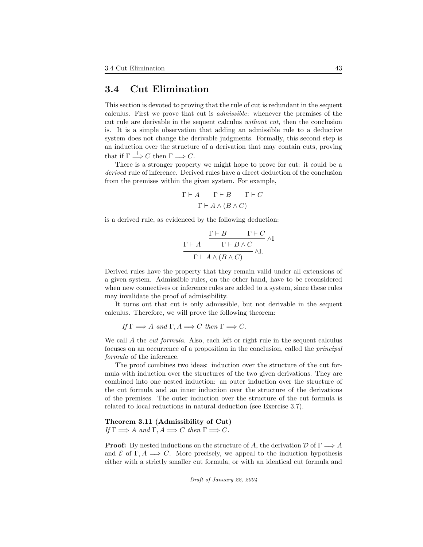### 3.4 Cut Elimination

This section is devoted to proving that the rule of cut is redundant in the sequent calculus. First we prove that cut is admissible: whenever the premises of the cut rule are derivable in the sequent calculus without cut, then the conclusion is. It is a simple observation that adding an admissible rule to a deductive system does not change the derivable judgments. Formally, this second step is an induction over the structure of a derivation that may contain cuts, proving that if  $\Gamma \stackrel{+}{\Longrightarrow} C$  then  $\Gamma \Longrightarrow C$ .

There is a stronger property we might hope to prove for cut: it could be a derived rule of inference. Derived rules have a direct deduction of the conclusion from the premises within the given system. For example,

$$
\frac{\Gamma \vdash A \qquad \Gamma \vdash B \qquad \Gamma \vdash C}{\Gamma \vdash A \land (B \land C)}
$$

is a derived rule, as evidenced by the following deduction:

$$
\frac{\Gamma \vdash B \qquad \Gamma \vdash C}{\Gamma \vdash A \land (B \land C)} \land \text{I}
$$
\n
$$
\frac{\Gamma \vdash B \land C}{\Gamma \vdash A \land (B \land C)} \land \text{I}.
$$

Derived rules have the property that they remain valid under all extensions of a given system. Admissible rules, on the other hand, have to be reconsidered when new connectives or inference rules are added to a system, since these rules may invalidate the proof of admissibility.

It turns out that cut is only admissible, but not derivable in the sequent calculus. Therefore, we will prove the following theorem:

If  $\Gamma \Longrightarrow A$  and  $\Gamma, A \Longrightarrow C$  then  $\Gamma \Longrightarrow C$ .

We call A the *cut formula*. Also, each left or right rule in the sequent calculus focuses on an occurrence of a proposition in the conclusion, called the principal formula of the inference.

The proof combines two ideas: induction over the structure of the cut formula with induction over the structures of the two given derivations. They are combined into one nested induction: an outer induction over the structure of the cut formula and an inner induction over the structure of the derivations of the premises. The outer induction over the structure of the cut formula is related to local reductions in natural deduction (see Exercise 3.7).

Theorem 3.11 (Admissibility of Cut) If  $\Gamma \Longrightarrow A$  and  $\Gamma, A \Longrightarrow C$  then  $\Gamma \Longrightarrow C$ .

**Proof:** By nested inductions on the structure of A, the derivation  $\mathcal{D}$  of  $\Gamma \Longrightarrow A$ and  $\mathcal E$  of  $\Gamma, A \implies C$ . More precisely, we appeal to the induction hypothesis either with a strictly smaller cut formula, or with an identical cut formula and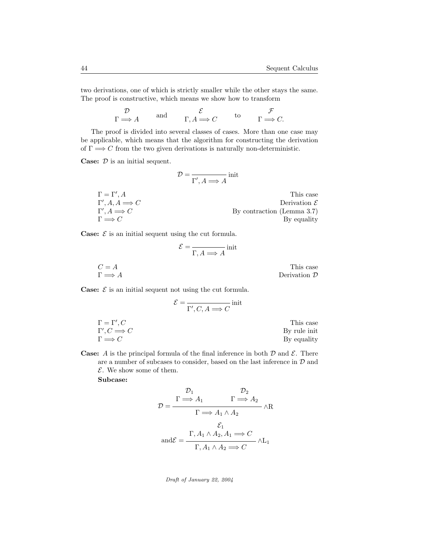two derivations, one of which is strictly smaller while the other stays the same. The proof is constructive, which means we show how to transform

$$
\begin{array}{ccc}\n\mathcal{D} & \text{and} & \mathcal{E} & \text{to} & \mathcal{F} \\
\Gamma \Longrightarrow A & \text{and} & \Gamma, A \Longrightarrow C & \text{to} & \Gamma \Longrightarrow C.\n\end{array}
$$

The proof is divided into several classes of cases. More than one case may be applicable, which means that the algorithm for constructing the derivation of  $\Gamma \Longrightarrow C$  from the two given derivations is naturally non-deterministic.

**Case:**  $D$  is an initial sequent.

$$
\mathcal{D} = \frac{}{\Gamma', A \Longrightarrow A} \text{init}
$$

 $\Gamma = \Gamma', A$ This case  $\Gamma', A, A \Longrightarrow C$  Derivation E  $\Gamma'$ By contraction (Lemma 3.7)  $\Gamma \Longrightarrow C$  By equality

**Case:**  $\mathcal{E}$  is an initial sequent using the cut formula.

E = init Γ, A =⇒ A C = A This case Γ =⇒ A Derivation D

**Case:**  $\mathcal{E}$  is an initial sequent not using the cut formula.

$$
\mathcal{E} = \frac{}{\Gamma', C, A \Longrightarrow C} \text{init}
$$
\n
$$
\Gamma = \Gamma', C
$$
\n
$$
\Gamma', C \Longrightarrow C
$$
\nThis case\n
$$
\Gamma \Longrightarrow C
$$
\nThis case\n
$$
\Gamma \Longrightarrow C
$$
\nThis case\n
$$
\Gamma \Longrightarrow C
$$
\nThis case\n
$$
\Gamma \Longrightarrow C
$$

**Case:** A is the principal formula of the final inference in both  $\mathcal{D}$  and  $\mathcal{E}$ . There are a number of subcases to consider, based on the last inference in  $D$  and  $E$ . We show some of them.

#### Subcase:

$$
\mathcal{D} = \frac{\Gamma \Longrightarrow A_1 \qquad \Gamma \Longrightarrow A_2}{\Gamma \Longrightarrow A_1 \land A_2} \land R
$$

$$
\mathcal{E}_1
$$

$$
\text{and}\mathcal{E} = \frac{\Gamma, A_1 \land A_2, A_1 \Longrightarrow C}{\Gamma, A_1 \land A_2 \Longrightarrow C} \land L_1
$$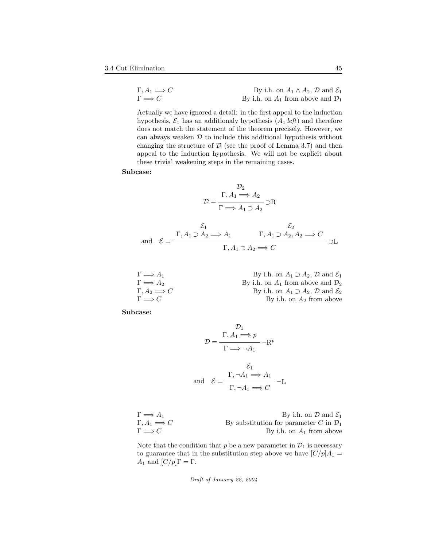| $\Gamma, A_1 \Longrightarrow C$ | By i.h. on $A_1 \wedge A_2$ , $D$ and $\mathcal{E}_1$ |
|---------------------------------|-------------------------------------------------------|
| $\Gamma \Longrightarrow C$      | By i.h. on $A_1$ from above and $\mathcal{D}_1$       |

Actually we have ignored a detail: in the first appeal to the induction hypothesis,  $\mathcal{E}_1$  has an additionaly hypothesis  $(A_1 \text{ left})$  and therefore does not match the statement of the theorem precisely. However, we can always weaken  $D$  to include this additional hypothesis without changing the structure of  $D$  (see the proof of Lemma 3.7) and then appeal to the induction hypothesis. We will not be explicit about these trivial weakening steps in the remaining cases.

Subcase:

$$
\mathcal{D}_2
$$

$$
\mathcal{D} = \frac{\Gamma, A_1 \Longrightarrow A_2}{\Gamma \Longrightarrow A_1 \supset A_2} \supset R
$$

$$
\mathcal{E}_1 \xrightarrow{\mathcal{E}_1} \Gamma, A_1 \supset A_2 \Longrightarrow A_1 \qquad \Gamma, A_1 \supset A_2, A_2 \Longrightarrow C
$$
  
and 
$$
\mathcal{E} = \frac{\Gamma, A_1 \supset A_2 \Longrightarrow A_1}{\Gamma, A_1 \supset A_2 \Longrightarrow C} \supset L
$$

| $\Gamma \Longrightarrow A_1$    | By i.h. on $A_1 \supset A_2$ , $D$ and $\mathcal{E}_1$ |
|---------------------------------|--------------------------------------------------------|
| $\Gamma \Longrightarrow A_2$    | By i.h. on $A_1$ from above and $\mathcal{D}_2$        |
| $\Gamma, A_2 \Longrightarrow C$ | By i.h. on $A_1 \supset A_2$ , $D$ and $\mathcal{E}_2$ |
| $\Gamma \Longrightarrow C$      | By i.h. on $A_2$ from above                            |

Subcase:

$$
\mathcal{D} = \frac{\Gamma, A_1 \Longrightarrow p}{\Gamma \Longrightarrow \neg A_1} \neg \mathbf{R}^p
$$

$$
\mathcal{E}_1
$$
and 
$$
\mathcal{E} = \frac{\Gamma, \neg A_1 \Longrightarrow A_1}{\Gamma, \neg A_1 \Longrightarrow C} \neg \mathbf{L}
$$

| $\Gamma \Longrightarrow A_1$    | By i.h. on $\mathcal{D}$ and $\mathcal{E}_1$       |
|---------------------------------|----------------------------------------------------|
| $\Gamma, A_1 \Longrightarrow C$ | By substitution for parameter C in $\mathcal{D}_1$ |
| $\Gamma \Longrightarrow C$      | By i.h. on $A_1$ from above                        |

Note that the condition that  $p$  be a new parameter in  $\mathcal{D}_1$  is necessary to guarantee that in the substitution step above we have  $\left[\frac{C}{p}\right]A_1 =$  $A_1$  and  $[C/p]\Gamma = \Gamma$ .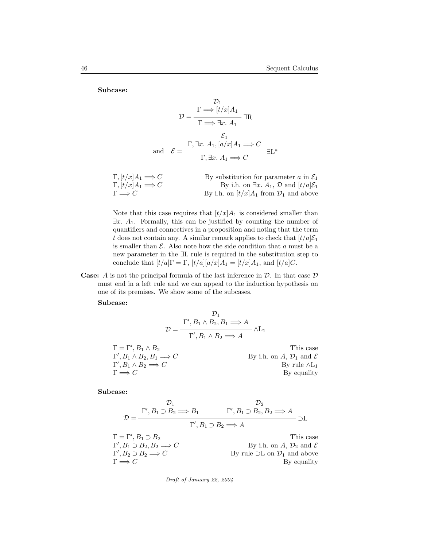Subcase:

$$
\mathcal{D} = \frac{\Gamma \Longrightarrow [t/x]A_1}{\Gamma \Longrightarrow \exists x. A_1} \exists R
$$
  
and 
$$
\mathcal{E} = \frac{\Gamma, \exists x. A_1, [a/x]A_1 \Longrightarrow C}{\Gamma, \exists x. A_1 \Longrightarrow C} \exists L^a
$$

| $\Gamma, [t/x]A_1 \Longrightarrow C$ | By substitution for parameter a in $\mathcal{E}_1$                |
|--------------------------------------|-------------------------------------------------------------------|
| $\Gamma, [t/x]A_1 \Longrightarrow C$ | By i.h. on $\exists x. A_1, \mathcal{D}$ and $[t/a]\mathcal{E}_1$ |
| $\Gamma \Longrightarrow C$           | By i.h. on $\left[t/x\right]A_1$ from $\mathcal{D}_1$ and above   |

Note that this case requires that  $\left[\frac{t}{x}\right]A_1$  is considered smaller than  $\exists x. A_1$ . Formally, this can be justified by counting the number of quantifiers and connectives in a proposition and noting that the term t does not contain any. A similar remark applies to check that  $[t/a]\mathcal{E}_1$ is smaller than  $\mathcal E$ . Also note how the side condition that a must be a new parameter in the ∃L rule is required in the substitution step to conclude that  $[t/a]\Gamma = \Gamma$ ,  $[t/a][a/x]A_1 = [t/x]A_1$ , and  $[t/a]C$ .

**Case:** A is not the principal formula of the last inference in  $D$ . In that case  $D$ must end in a left rule and we can appeal to the induction hypothesis on one of its premises. We show some of the subcases.

Subcase:

$$
\mathcal{D} = \frac{\Gamma', B_1 \wedge B_2, B_1 \Longrightarrow A}{\Gamma', B_1 \wedge B_2 \Longrightarrow A} \wedge L_1
$$
  
\n
$$
\Gamma = \Gamma', B_1 \wedge B_2
$$
 This case  
\n
$$
\Gamma', B_1 \wedge B_2, B_1 \Longrightarrow C
$$
 By i.h. on A,  $\mathcal{D}_1$  and  $\mathcal{E}$   
\n
$$
\Gamma', B_1 \wedge B_2 \Longrightarrow C
$$
 By rule  $\wedge L_1$   
\nBy equality

Subcase:

$$
\mathcal{D}_1 \qquad \mathcal{D}_2
$$
\n
$$
\mathcal{D} = \frac{\Gamma', B_1 \supset B_2 \Longrightarrow B_1 \qquad \Gamma', B_1 \supset B_2, B_2 \Longrightarrow A}{\Gamma', B_1 \supset B_2 \Longrightarrow A} \supset \mathcal{L}
$$
\n
$$
\Gamma = \Gamma', B_1 \supset B_2 \qquad \text{This case}
$$
\n
$$
\Gamma', B_1 \supset B_2, B_2 \Longrightarrow C \qquad \text{By i.h. on } A, \mathcal{D}_2 \text{ and } \mathcal{E}
$$
\n
$$
\Gamma', B_2 \supset B_2 \Longrightarrow C \qquad \text{By rule } \supset \mathcal{L} \text{ on } \mathcal{D}_1 \text{ and above}
$$
\n
$$
\Gamma \Longrightarrow C \qquad \text{By equality}
$$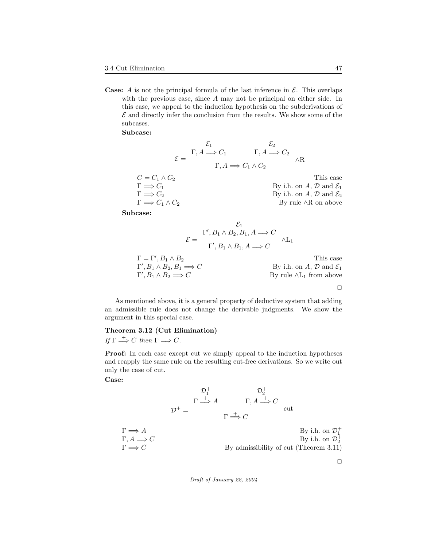**Case:** A is not the principal formula of the last inference in  $\mathcal{E}$ . This overlaps with the previous case, since A may not be principal on either side. In this case, we appeal to the induction hypothesis on the subderivations of  $\mathcal E$  and directly infer the conclusion from the results. We show some of the subcases.

Subcase:

$$
\mathcal{E} = \frac{\Gamma, A \Longrightarrow C_1 \qquad \Gamma, A \Longrightarrow C_2}{\Gamma, A \Longrightarrow C_1 \land C_2} \land R
$$
  
\n
$$
C = C_1 \land C_2
$$
 This case  
\n
$$
\Gamma \Longrightarrow C_1
$$
 This case  
\n
$$
\Gamma \Longrightarrow C_2
$$
 By i.h. on A, D and  $\mathcal{E}_1$   
\nBy i.h. on A, D and  $\mathcal{E}_2$   
\nBy i.h. on A, D and  $\mathcal{E}_2$   
\nBy rule  $\land R$  on above

Subcase:

$$
\mathcal{E} = \frac{\Gamma', B_1 \wedge B_2, B_1, A \Longrightarrow C}{\Gamma', B_1 \wedge B_1, A \Longrightarrow C} \wedge L_1
$$
  
\n
$$
\Gamma = \Gamma', B_1 \wedge B_2
$$
 This case  
\n
$$
\Gamma', B_1 \wedge B_2, B_1 \Longrightarrow C
$$
 By i.h. on *A*, *D* and  $\mathcal{E}_1$   
\n
$$
\Gamma', B_1 \wedge B_2 \Longrightarrow C
$$
 By rule  $\wedge L_1$  from above

As mentioned above, it is a general property of deductive system that adding an admissible rule does not change the derivable judgments. We show the argument in this special case.

#### Theorem 3.12 (Cut Elimination)

If  $\Gamma \stackrel{+}{\Longrightarrow} C$  then  $\Gamma \Longrightarrow C$ .

Proof: In each case except cut we simply appeal to the induction hypotheses and reapply the same rule on the resulting cut-free derivations. So we write out only the case of cut.

#### Case:

$$
\mathcal{D}_{1}^{+} = \frac{\Gamma \stackrel{+}{\Longrightarrow} A \qquad \Gamma, A \stackrel{+}{\Longrightarrow} C}{\Gamma \stackrel{+}{\Longrightarrow} C} \text{cut}
$$

$$
\Gamma \Longrightarrow A
$$
\n
$$
\Gamma, A \Longrightarrow C
$$
\n
$$
\Gamma \Longrightarrow C
$$
\nBy i.h. on  $\mathcal{D}_1^+$ \n
$$
\Gamma \Longrightarrow C
$$
\nBy admissibility of cut (Theorem 3.11)

 $\Box$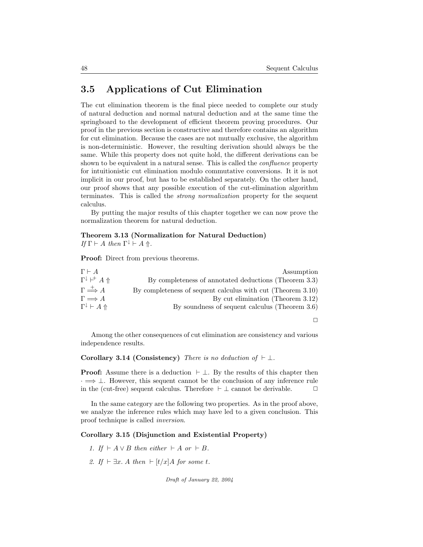### 3.5 Applications of Cut Elimination

The cut elimination theorem is the final piece needed to complete our study of natural deduction and normal natural deduction and at the same time the springboard to the development of efficient theorem proving procedures. Our proof in the previous section is constructive and therefore contains an algorithm for cut elimination. Because the cases are not mutually exclusive, the algorithm is non-deterministic. However, the resulting derivation should always be the same. While this property does not quite hold, the different derivations can be shown to be equivalent in a natural sense. This is called the *confluence* property for intuitionistic cut elimination modulo commutative conversions. It it is not implicit in our proof, but has to be established separately. On the other hand, our proof shows that any possible execution of the cut-elimination algorithm terminates. This is called the strong normalization property for the sequent calculus.

By putting the major results of this chapter together we can now prove the normalization theorem for natural deduction.

### Theorem 3.13 (Normalization for Natural Deduction)

If  $\Gamma \vdash A$  then  $\Gamma^{\downarrow} \vdash A \Uparrow$ .

Proof: Direct from previous theorems.

| $\Gamma \vdash A$                                 | Assumption                                                  |
|---------------------------------------------------|-------------------------------------------------------------|
| $\Gamma^{\downarrow} \vdash^{\dagger} A \Uparrow$ | By completeness of annotated deductions (Theorem 3.3)       |
| $\Gamma \stackrel{+}{\Longrightarrow} A$          | By completeness of sequent calculus with cut (Theorem 3.10) |
| $\Gamma \Longrightarrow A$                        | By cut elimination (Theorem 3.12)                           |
| $\Gamma^{\downarrow} \vdash A \Uparrow$           | By soundness of sequent calculus (Theorem 3.6)              |
|                                                   |                                                             |

 $\Box$ 

Among the other consequences of cut elimination are consistency and various independence results.

Corollary 3.14 (Consistency) There is no deduction of  $\vdash \bot$ .

**Proof:** Assume there is a deduction  $\vdash \bot$ . By the results of this chapter then  $\cdot \Longrightarrow \bot$ . However, this sequent cannot be the conclusion of any inference rule in the (cut-free) sequent calculus. Therefore  $\vdash \bot$  cannot be derivable.  $\Box$ 

In the same category are the following two properties. As in the proof above, we analyze the inference rules which may have led to a given conclusion. This proof technique is called inversion.

#### Corollary 3.15 (Disjunction and Existential Property)

1. If  $\vdash A \vee B$  then either  $\vdash A$  or  $\vdash B$ .

2. If  $\vdash \exists x. A$  then  $\vdash [t/x]A$  for some t.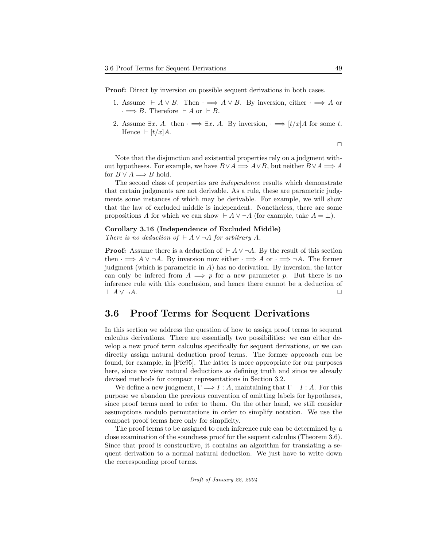Proof: Direct by inversion on possible sequent derivations in both cases.

- 1. Assume  $\vdash A \lor B$ . Then  $\cdot \Longrightarrow A \lor B$ . By inversion, either  $\cdot \Longrightarrow A$  or  $\cdot \Longrightarrow B$ . Therefore  $\vdash A$  or  $\vdash B$ .
- 2. Assume  $\exists x.$  A. then  $\cdot \Longrightarrow \exists x.$  A. By inversion,  $\cdot \Longrightarrow [t/x]A$  for some t. Hence  $\vdash [t/x]A$ .

$$
\qquad \qquad \Box
$$

Note that the disjunction and existential properties rely on a judgment without hypotheses. For example, we have  $B \vee A \Longrightarrow A \vee B$ , but neither  $B \vee A \Longrightarrow A$ for  $B \vee A \Longrightarrow B$  hold.

The second class of properties are independence results which demonstrate that certain judgments are not derivable. As a rule, these are parametric judgments some instances of which may be derivable. For example, we will show that the law of excluded middle is independent. Nonetheless, there are some propositions A for which we can show  $\vdash A \lor \neg A$  (for example, take  $A = \bot$ ).

#### Corollary 3.16 (Independence of Excluded Middle)

There is no deduction of  $\vdash A \vee \neg A$  for arbitrary A.

**Proof:** Assume there is a deduction of  $\vdash A \lor \neg A$ . By the result of this section then  $\cdot \Longrightarrow A \lor \neg A$ . By inversion now either  $\cdot \Longrightarrow A$  or  $\cdot \Longrightarrow \neg A$ . The former judgment (which is parametric in  $A$ ) has no derivation. By inversion, the latter can only be inferred from  $A \implies p$  for a new parameter p. But there is no inference rule with this conclusion, and hence there cannot be a deduction of  $\vdash A \vee \neg A.$ 

### 3.6 Proof Terms for Sequent Derivations

In this section we address the question of how to assign proof terms to sequent calculus derivations. There are essentially two possibilities: we can either develop a new proof term calculus specifically for sequent derivations, or we can directly assign natural deduction proof terms. The former approach can be found, for example, in [Pfe95]. The latter is more appropriate for our purposes here, since we view natural deductions as defining truth and since we already devised methods for compact representations in Section 3.2.

We define a new judgment,  $\Gamma \Longrightarrow I : A$ , maintaining that  $\Gamma \vdash I : A$ . For this purpose we abandon the previous convention of omitting labels for hypotheses, since proof terms need to refer to them. On the other hand, we still consider assumptions modulo permutations in order to simplify notation. We use the compact proof terms here only for simplicity.

The proof terms to be assigned to each inference rule can be determined by a close examination of the soundness proof for the sequent calculus (Theorem 3.6). Since that proof is constructive, it contains an algorithm for translating a sequent derivation to a normal natural deduction. We just have to write down the corresponding proof terms.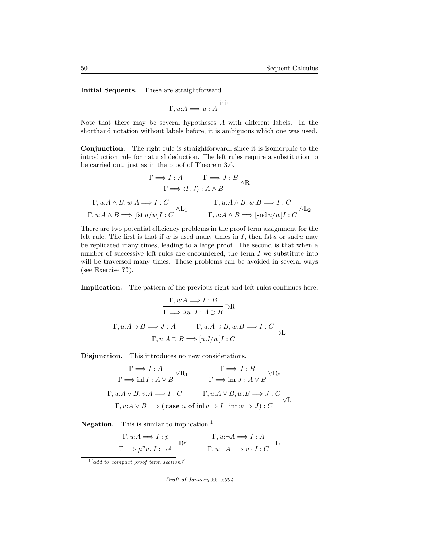Initial Sequents. These are straightforward.

$$
\overline{\Gamma, u:A \Longrightarrow u:A}^{\text{init}}
$$

Note that there may be several hypotheses A with different labels. In the shorthand notation without labels before, it is ambiguous which one was used.

Conjunction. The right rule is straightforward, since it is isomorphic to the introduction rule for natural deduction. The left rules require a substitution to be carried out, just as in the proof of Theorem 3.6.

$$
\frac{\Gamma \Longrightarrow I:A \qquad \Gamma \Longrightarrow J:B}{\Gamma \Longrightarrow \langle I,J \rangle : A \land B} \land R
$$
  

$$
\Gamma, u:A \land B, w:A \Longrightarrow I:C \qquad \qquad \Gamma, u:A \land B, w:B \Longrightarrow I:C
$$
  

$$
\Gamma, u:A \land B \Longrightarrow [\text{fst } u/w]I:C \qquad \qquad \Gamma, u:A \land B \Longrightarrow [\text{snd } u/w]I:C \qquad \qquad \Gamma
$$

There are two potential efficiency problems in the proof term assignment for the left rule. The first is that if w is used many times in I, then fst u or snd u may be replicated many times, leading to a large proof. The second is that when a number of successive left rules are encountered, the term  $I$  we substitute into will be traversed many times. These problems can be avoided in several ways (see Exercise ??).

Implication. The pattern of the previous right and left rules continues here.

$$
\Gamma, u:A \Longrightarrow I:B
$$
  
\n
$$
\Gamma \Longrightarrow \lambda u. I:A \supset B \supset R
$$
  
\n
$$
\Gamma, u:A \supset B \Longrightarrow J:A \qquad \Gamma, u:A \supset B, w:B \Longrightarrow I:C
$$
  
\n
$$
\Gamma, u:A \supset B \Longrightarrow [u J/w]I:C \qquad \qquad \square L
$$

Disjunction. This introduces no new considerations.

$$
\frac{\Gamma \Longrightarrow I:A}{\Gamma \Longrightarrow \text{in} I:A \lor B} \lor R_1 \qquad \frac{\Gamma \Longrightarrow J:B}{\Gamma \Longrightarrow \text{in} I:A \lor B} \lor R_2
$$
  

$$
\frac{\Gamma, u:A \lor B, v:A \Longrightarrow I:C \qquad \Gamma, u:A \lor B, w:B \Longrightarrow J:C}{\Gamma, u:A \lor B \Longrightarrow (\text{case } u \text{ of } \text{in} l v \Rightarrow I \mid \text{in} r w \Rightarrow J):C} \lor L
$$

Negation. This is similar to implication.<sup>1</sup>

$$
\Gamma, u:A \Longrightarrow I:p
$$
  

$$
\Gamma \Longrightarrow \mu^p u. I: \neg A \neg R^p
$$
  

$$
\Gamma, u: \neg A \Longrightarrow I:A
$$
  

$$
\Gamma, u: \neg A \Longrightarrow I: A \neg L
$$

 $^{1}[add\ to\ compact\ proof\ term\ section?]$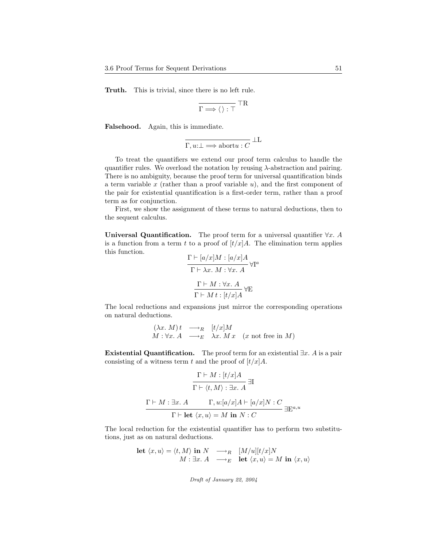Truth. This is trivial, since there is no left rule.

$$
\overline{\Gamma\Longrightarrow\langle\,\rangle:\top}^{\hphantom{I}}\top{\bf R}
$$

Falsehood. Again, this is immediate.

$$
\overline{\Gamma, u:\perp \Longrightarrow \text{abort} u:C} \perp \!\!\! \perp \!\!\! \perp
$$

To treat the quantifiers we extend our proof term calculus to handle the quantifier rules. We overload the notation by reusing  $\lambda$ -abstraction and pairing. There is no ambiguity, because the proof term for universal quantification binds a term variable  $x$  (rather than a proof variable  $u$ ), and the first component of the pair for existential quantification is a first-order term, rather than a proof term as for conjunction.

First, we show the assignment of these terms to natural deductions, then to the sequent calculus.

Universal Quantification. The proof term for a universal quantifier  $\forall x$ . A is a function from a term t to a proof of  $\left[t/x\right]A$ . The elimination term applies this function.  $\overline{1}$   $\overline{1}$   $\overline{2}$   $\overline{3}$   $\overline{4}$   $\overline{1}$   $\overline{4}$   $\overline{1}$   $\overline{4}$   $\overline{1}$   $\overline{4}$   $\overline{1}$ 

$$
\frac{\Gamma \vdash [a/x]M : [a/x]A}{\Gamma \vdash \lambda x.\ M : \forall x.\ A} \forall \Gamma^a
$$
\n
$$
\frac{\Gamma \vdash M : \forall x.\ A}{\Gamma \vdash M : [t/x]A} \forall E
$$

The local reductions and expansions just mirror the corresponding operations on natural deductions.

$$
(\lambda x. M) t \longrightarrow_R [t/x] M
$$
  

$$
M: \forall x. A \longrightarrow_E \lambda x. M x \quad (x \text{ not free in } M)
$$

Existential Quantification. The proof term for an existential  $\exists x. A$  is a pair consisting of a witness term t and the proof of  $\left[t/x\right]A$ .

$$
\frac{\Gamma \vdash M : [t/x]A}{\Gamma \vdash \langle t, M \rangle : \exists x. A} \exists I
$$
\n
$$
\frac{\Gamma \vdash M : \exists x. A \qquad \Gamma, u : [a/x]A \vdash [a/x]N : C}{\Gamma \vdash \text{let } \langle x, u \rangle = M \text{ in } N : C} \exists \mathbf{E}^{a,u}
$$

The local reduction for the existential quantifier has to perform two substitutions, just as on natural deductions.

$$
\begin{array}{ll}\n\text{let } \langle x, u \rangle = \langle t, M \rangle \text{ in } N & \longrightarrow_R & [M/u][t/x]N \\
M: \exists x. \ A & \longrightarrow_E & \text{let } \langle x, u \rangle = M \text{ in } \langle x, u \rangle\n\end{array}
$$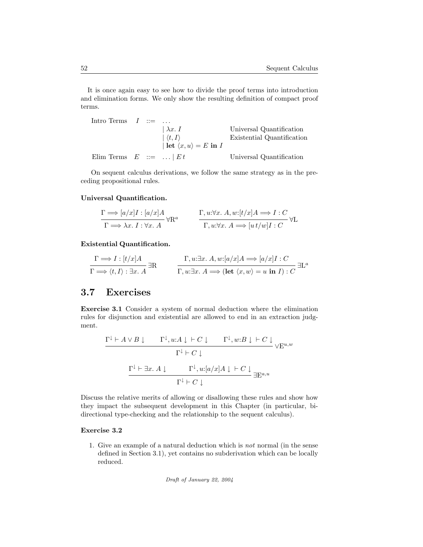It is once again easy to see how to divide the proof terms into introduction and elimination forms. We only show the resulting definition of compact proof terms.

Intro Terms 
$$
I := \dots
$$

\n

| $ \lambda x. I$                        | Universal Quantification   |
|----------------------------------------|----------------------------|
| $ \langle t, I \rangle$                | Existential Quantification |
| Heit $\langle x, u \rangle = E$ in $I$ |                            |

\nElim Terms  $E := \dots | Et$ 

\nUniversal Quantification

On sequent calculus derivations, we follow the same strategy as in the preceding propositional rules.

#### Universal Quantification.

$$
\Gamma \Longrightarrow [a/x]I : [a/x]A
$$
  
\n
$$
\Gamma \Longrightarrow \lambda x. I : \forall x. A
$$
  
\n
$$
\Gamma, u: \forall x. A, w: [t/x]A \Longrightarrow I : C
$$
  
\n
$$
\Gamma, u: \forall x. A \Longrightarrow [u t/w]I : C
$$

Existential Quantification.

$$
\frac{\Gamma \Longrightarrow I : [t/x]A}{\Gamma \Longrightarrow \langle t, I \rangle : \exists x. A} \exists R \qquad \frac{\Gamma, u: \exists x. A, w: [a/x]A \Longrightarrow [a/x]I : C}{\Gamma, u: \exists x. A \Longrightarrow (\text{let } \langle x, w \rangle = u \text{ in } I) : C} \exists L^a
$$

### 3.7 Exercises

Exercise 3.1 Consider a system of normal deduction where the elimination rules for disjunction and existential are allowed to end in an extraction judgment.

$$
\cfrac{\Gamma^{\downarrow}\vdash A\vee B\downarrow\qquad\Gamma^{\downarrow}, u:A\downarrow\vdash C\downarrow\qquad\Gamma^{\downarrow}, w:B\downarrow\vdash C\downarrow}{\Gamma^{\downarrow}\vdash C\downarrow}\vee E^{u,w}
$$
\n
$$
\cfrac{\Gamma^{\downarrow}\vdash \exists x.\ A\downarrow\qquad\Gamma^{\downarrow}, u:[a/x]A\downarrow\vdash C\downarrow}{\Gamma^{\downarrow}\vdash C\downarrow}\exists E^{a,u}
$$

Discuss the relative merits of allowing or disallowing these rules and show how they impact the subsequent development in this Chapter (in particular, bidirectional type-checking and the relationship to the sequent calculus).

#### Exercise 3.2

1. Give an example of a natural deduction which is not normal (in the sense defined in Section 3.1), yet contains no subderivation which can be locally reduced.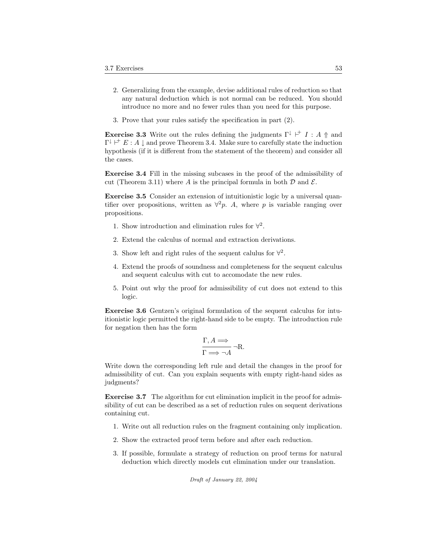- 2. Generalizing from the example, devise additional rules of reduction so that any natural deduction which is not normal can be reduced. You should introduce no more and no fewer rules than you need for this purpose.
- 3. Prove that your rules satisfy the specification in part (2).

**Exercise 3.3** Write out the rules defining the judgments  $\Gamma^{\downarrow} \vdash^{+} I : A \uparrow$  and  $\Gamma^{\downarrow} \models^{\dagger} E : A \downarrow$  and prove Theorem 3.4. Make sure to carefully state the induction hypothesis (if it is different from the statement of the theorem) and consider all the cases.

Exercise 3.4 Fill in the missing subcases in the proof of the admissibility of cut (Theorem 3.11) where A is the principal formula in both  $\mathcal D$  and  $\mathcal E$ .

Exercise 3.5 Consider an extension of intuitionistic logic by a universal quantifier over propositions, written as  $\forall^2 p$ . A, where p is variable ranging over propositions.

- 1. Show introduction and elimination rules for  $\forall^2$ .
- 2. Extend the calculus of normal and extraction derivations.
- 3. Show left and right rules of the sequent calulus for  $\forall^2$ .
- 4. Extend the proofs of soundness and completeness for the sequent calculus and sequent calculus with cut to accomodate the new rules.
- 5. Point out why the proof for admissibility of cut does not extend to this logic.

Exercise 3.6 Gentzen's original formulation of the sequent calculus for intuitionistic logic permitted the right-hand side to be empty. The introduction rule for negation then has the form

$$
\frac{\Gamma, A \Longrightarrow}{\Gamma \Longrightarrow \neg A} \neg R.
$$

Write down the corresponding left rule and detail the changes in the proof for admissibility of cut. Can you explain sequents with empty right-hand sides as judgments?

Exercise 3.7 The algorithm for cut elimination implicit in the proof for admissibility of cut can be described as a set of reduction rules on sequent derivations containing cut.

- 1. Write out all reduction rules on the fragment containing only implication.
- 2. Show the extracted proof term before and after each reduction.
- 3. If possible, formulate a strategy of reduction on proof terms for natural deduction which directly models cut elimination under our translation.